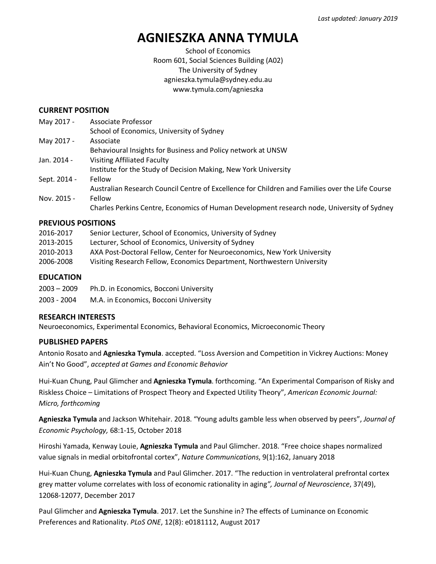# **AGNIESZKA ANNA TYMULA**

School of Economics Room 601, Social Sciences Building (A02) The University of Sydney agnieszka.tymula@sydney.edu.au www.tymula.com/agnieszka

#### **CURRENT POSITION**

| May 2017 -   | Associate Professor                                                                             |
|--------------|-------------------------------------------------------------------------------------------------|
|              | School of Economics, University of Sydney                                                       |
| May 2017 -   | Associate                                                                                       |
|              | Behavioural Insights for Business and Policy network at UNSW                                    |
| Jan. 2014 -  | <b>Visiting Affiliated Faculty</b>                                                              |
|              | Institute for the Study of Decision Making, New York University                                 |
| Sept. 2014 - | Fellow                                                                                          |
|              | Australian Research Council Centre of Excellence for Children and Families over the Life Course |
| Nov. 2015 -  | Fellow                                                                                          |
|              | Charles Perkins Centre, Economics of Human Development research node, University of Sydney      |

#### **PREVIOUS POSITIONS**

| 2016-2017 | Senior Lecturer, School of Economics, University of Sydney               |
|-----------|--------------------------------------------------------------------------|
| 2013-2015 | Lecturer, School of Economics, University of Sydney                      |
| 2010-2013 | AXA Post-Doctoral Fellow, Center for Neuroeconomics, New York University |
| 2006-2008 | Visiting Research Fellow, Economics Department, Northwestern University  |

#### **EDUCATION**

| $2003 - 2009$ | Ph.D. in Economics, Bocconi University |
|---------------|----------------------------------------|
| 2003 - 2004   | M.A. in Economics, Bocconi University  |

#### **RESEARCH INTERESTS**

Neuroeconomics, Experimental Economics, Behavioral Economics, Microeconomic Theory

#### **PUBLISHED PAPERS**

Antonio Rosato and **Agnieszka Tymula**. accepted. "Loss Aversion and Competition in Vickrey Auctions: Money Ain't No Good", *accepted at Games and Economic Behavior*

Hui-Kuan Chung, Paul Glimcher and **Agnieszka Tymula**. forthcoming. "An Experimental Comparison of Risky and Riskless Choice – Limitations of Prospect Theory and Expected Utility Theory", *American Economic Journal: Micro, forthcoming*

**Agnieszka Tymula** and Jackson Whitehair. 2018. "Young adults gamble less when observed by peers", *Journal of Economic Psychology,* 68:1-15, October 2018

Hiroshi Yamada, Kenway Louie, **Agnieszka Tymula** and Paul Glimcher. 2018. "Free choice shapes normalized value signals in medial orbitofrontal cortex", *Nature Communications*, 9(1):162, January 2018

Hui-Kuan Chung, **Agnieszka Tymula** and Paul Glimcher. 2017. "The reduction in ventrolateral prefrontal cortex grey matter volume correlates with loss of economic rationality in aging*", Journal of Neuroscience*, 37(49), 12068-12077, December 2017

Paul Glimcher and **Agnieszka Tymula**. 2017. Let the Sunshine in? The effects of Luminance on Economic Preferences and Rationality. *PLoS ONE*, 12(8): e0181112, August 2017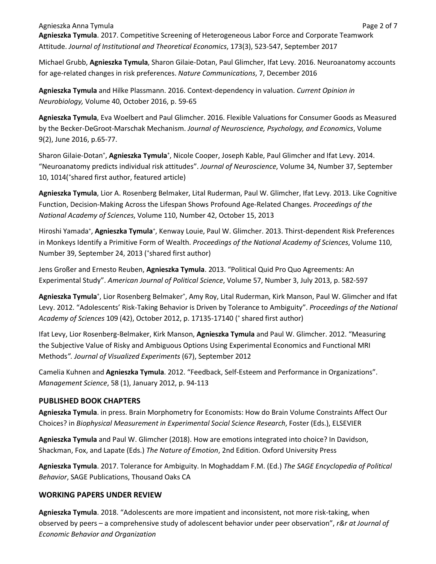Agnieszka Anna Tymula Page 2 of 7 **Agnieszka Tymula**. 2017. Competitive Screening of Heterogeneous Labor Force and Corporate Teamwork Attitude. *Journal of Institutional and Theoretical Economics*, 173(3), 523-547, September 2017

Michael Grubb, **Agnieszka Tymula**, Sharon Gilaie-Dotan, Paul Glimcher, Ifat Levy. 2016. Neuroanatomy accounts for age-related changes in risk preferences. *Nature Communications*, 7, December 2016

**Agnieszka Tymula** and Hilke Plassmann. 2016. Context-dependency in valuation. *Current Opinion in Neurobiology,* Volume 40, October 2016, p. 59-65

**Agnieszka Tymula**, Eva Woelbert and Paul Glimcher. 2016. Flexible Valuations for Consumer Goods as Measured by the Becker-DeGroot-Marschak Mechanism. *Journal of Neuroscience, Psychology, and Economics*, Volume 9(2), June 2016, p.65-77.

Sharon Gilaie-Dotan<sup>+</sup>, Agnieszka Tymula<sup>+</sup>, Nicole Cooper, Joseph Kable, Paul Glimcher and Ifat Levy. 2014. "Neuroanatomy predicts individual risk attitudes". *Journal of Neuroscience*, Volume 34, Number 37, September 10, 1014('shared first author, featured article)

**Agnieszka Tymula**, Lior A. Rosenberg Belmaker, Lital Ruderman, Paul W. Glimcher, Ifat Levy. 2013. Like Cognitive Function, Decision-Making Across the Lifespan Shows Profound Age-Related Changes. *Proceedings of the National Academy of Sciences*, Volume 110, Number 42, October 15, 2013

Hiroshi Yamada<sup>+</sup>, Agnieszka Tymula<sup>+</sup>, Kenway Louie, Paul W. Glimcher. 2013. Thirst-dependent Risk Preferences in Monkeys Identify a Primitive Form of Wealth. *Proceedings of the National Academy of Sciences*, Volume 110, Number 39, September 24, 2013 ('shared first author)

Jens Großer and Ernesto Reuben, **Agnieszka Tymula**. 2013. "Political Quid Pro Quo Agreements: An Experimental Study". *American Journal of Political Science*, Volume 57, Number 3, July 2013, p. 582-597

Agnieszka Tymula<sup>+</sup>, Lior Rosenberg Belmaker<sup>+</sup>, Amy Roy, Lital Ruderman, Kirk Manson, Paul W. Glimcher and Ifat Levy. 2012. "Adolescents' Risk-Taking Behavior is Driven by Tolerance to Ambiguity". *Proceedings of the National Academy of Sciences* 109 (42), October 2012, p. 17135-17140 ( <sup>+</sup> shared first author)

Ifat Levy, Lior Rosenberg-Belmaker, Kirk Manson, **Agnieszka Tymula** and Paul W. Glimcher. 2012. "Measuring the Subjective Value of Risky and Ambiguous Options Using Experimental Economics and Functional MRI Methods*". Journal of Visualized Experiments* (67), September 2012

Camelia Kuhnen and **Agnieszka Tymula**. 2012. "Feedback, Self-Esteem and Performance in Organizations". *Management Science*, 58 (1), January 2012, p. 94-113

## **PUBLISHED BOOK CHAPTERS**

**Agnieszka Tymula**. in press. Brain Morphometry for Economists: How do Brain Volume Constraints Affect Our Choices? in *Biophysical Measurement in Experimental Social Science Research*, Foster (Eds.), ELSEVIER

**Agnieszka Tymula** and Paul W. Glimcher (2018). How are emotions integrated into choice? In Davidson, Shackman, Fox, and Lapate (Eds.) *The Nature of Emotion*, 2nd Edition. Oxford University Press

**Agnieszka Tymula**. 2017. Tolerance for Ambiguity. In Moghaddam F.M. (Ed.) *The SAGE Encyclopedia of Political Behavior*, SAGE Publications, Thousand Oaks CA

## **WORKING PAPERS UNDER REVIEW**

**Agnieszka Tymula**. 2018. "Adolescents are more impatient and inconsistent, not more risk-taking, when observed by peers – a comprehensive study of adolescent behavior under peer observation", *r&r at Journal of Economic Behavior and Organization*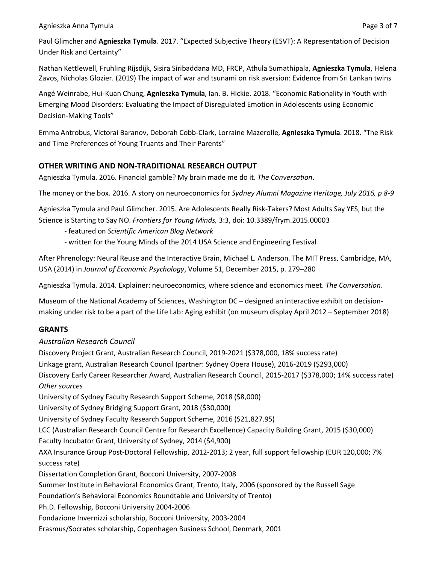#### Agnieszka Anna Tymula Page 3 of 7

Paul Glimcher and **Agnieszka Tymula**. 2017. "Expected Subjective Theory (ESVT): A Representation of Decision Under Risk and Certainty"

Nathan Kettlewell, Fruhling Rijsdijk, Sisira Siribaddana MD, FRCP, Athula Sumathipala, **Agnieszka Tymula**, Helena Zavos, Nicholas Glozier. (2019) The impact of war and tsunami on risk aversion: Evidence from Sri Lankan twins

Angé Weinrabe, Hui-Kuan Chung, **Agnieszka Tymula**, Ian. B. Hickie. 2018. "Economic Rationality in Youth with Emerging Mood Disorders: Evaluating the Impact of Disregulated Emotion in Adolescents using Economic Decision-Making Tools"

Emma Antrobus, Victorai Baranov, Deborah Cobb-Clark, Lorraine Mazerolle, **Agnieszka Tymula**. 2018. "The Risk and Time Preferences of Young Truants and Their Parents"

# **OTHER WRITING AND NON-TRADITIONAL RESEARCH OUTPUT**

Agnieszka Tymula. 2016. Financial gamble? My brain made me do it. *The Conversation*.

The money or the box. 2016. A story on neuroeconomics for *Sydney Alumni Magazine Heritage, July 2016, p 8-9*

Agnieszka Tymula and Paul Glimcher. 2015. Are Adolescents Really Risk-Takers? Most Adults Say YES, but the Science is Starting to Say NO. *Frontiers for Young Minds,* 3:3, doi: 10.3389/frym.2015.00003

- featured on *Scientific American Blog Network*
- written for the Young Minds of the 2014 USA Science and Engineering Festival

After Phrenology: Neural Reuse and the Interactive Brain, Michael L. Anderson. The MIT Press, Cambridge, MA, USA (2014) in *Journal of Economic Psychology*, Volume 51, December 2015, p. 279–280

Agnieszka Tymula. 2014. Explainer: neuroeconomics, where science and economics meet. *The Conversation.*

Museum of the National Academy of Sciences, Washington DC – designed an interactive exhibit on decisionmaking under risk to be a part of the Life Lab: Aging exhibit (on museum display April 2012 – September 2018)

# **GRANTS**

## *Australian Research Council*

Discovery Project Grant, Australian Research Council, 2019-2021 (\$378,000, 18% success rate) Linkage grant, Australian Research Council (partner: Sydney Opera House), 2016-2019 (\$293,000) Discovery Early Career Researcher Award, Australian Research Council, 2015-2017 (\$378,000; 14% success rate) *Other sources* University of Sydney Faculty Research Support Scheme, 2018 (\$8,000) University of Sydney Bridging Support Grant, 2018 (\$30,000) University of Sydney Faculty Research Support Scheme, 2016 (\$21,827.95) LCC (Australian Research Council Centre for Research Excellence) Capacity Building Grant, 2015 (\$30,000) Faculty Incubator Grant, University of Sydney, 2014 (\$4,900) AXA Insurance Group Post-Doctoral Fellowship, 2012-2013; 2 year, full support fellowship (EUR 120,000; 7% success rate) Dissertation Completion Grant, Bocconi University, 2007-2008 Summer Institute in Behavioral Economics Grant, Trento, Italy, 2006 (sponsored by the Russell Sage Foundation's Behavioral Economics Roundtable and University of Trento) Ph.D. Fellowship, Bocconi University 2004-2006 Fondazione Invernizzi scholarship, Bocconi University, 2003-2004 Erasmus/Socrates scholarship, Copenhagen Business School, Denmark, 2001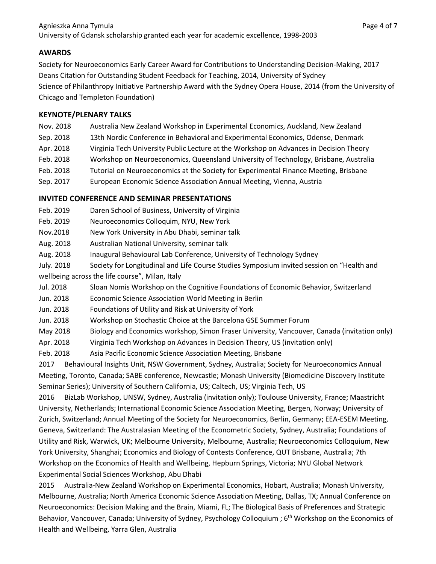# **AWARDS**

Society for Neuroeconomics Early Career Award for Contributions to Understanding Decision-Making, 2017 Deans Citation for Outstanding Student Feedback for Teaching, 2014, University of Sydney Science of Philanthropy Initiative Partnership Award with the Sydney Opera House, 2014 (from the University of Chicago and Templeton Foundation)

## **KEYNOTE/PLENARY TALKS**

- Nov. 2018 Australia New Zealand Workshop in Experimental Economics, Auckland, New Zealand
- Sep. 2018 13th Nordic Conference in Behavioral and Experimental Economics, Odense, Denmark
- Apr. 2018 Virginia Tech University Public Lecture at the Workshop on Advances in Decision Theory
- Feb. 2018 Workshop on Neuroeconomics, Queensland University of Technology, Brisbane, Australia
- Feb. 2018 Tutorial on Neuroeconomics at the Society for Experimental Finance Meeting, Brisbane
- Sep. 2017 European Economic Science Association Annual Meeting, Vienna, Austria

## **INVITED CONFERENCE AND SEMINAR PRESENTATIONS**

- Feb. 2019 Daren School of Business, University of Virginia
- Feb. 2019 Neuroeconomics Colloquim, NYU, New York

Nov.2018 New York University in Abu Dhabi, seminar talk

Aug. 2018 Australian National University, seminar talk

Aug. 2018 Inaugural Behavioural Lab Conference, University of Technology Sydney

- July. 2018 Society for Longitudinal and Life Course Studies Symposium invited session on "Health and wellbeing across the life course", Milan, Italy
- Jul. 2018 Sloan Nomis Workshop on the Cognitive Foundations of Economic Behavior, Switzerland

Jun. 2018 Economic Science Association World Meeting in Berlin

- Jun. 2018 Foundations of Utility and Risk at University of York
- Jun. 2018 Workshop on Stochastic Choice at the Barcelona GSE Summer Forum
- May 2018 Biology and Economics workshop, Simon Fraser University, Vancouver, Canada (invitation only)
- Apr. 2018 Virginia Tech Workshop on Advances in Decision Theory, US (invitation only)
- Feb. 2018 Asia Pacific Economic Science Association Meeting, Brisbane

2017 Behavioural Insights Unit, NSW Government, Sydney, Australia; Society for Neuroeconomics Annual Meeting, Toronto, Canada; SABE conference, Newcastle; Monash University (Biomedicine Discovery Institute Seminar Series); University of Southern California, US; Caltech, US; Virginia Tech, US

2016 BizLab Workshop, UNSW, Sydney, Australia (invitation only); Toulouse University, France; Maastricht University, Netherlands; International Economic Science Association Meeting, Bergen, Norway; University of Zurich, Switzerland; Annual Meeting of the Society for Neuroeconomics, Berlin, Germany; EEA-ESEM Meeting, Geneva, Switzerland: The Australasian Meeting of the Econometric Society, Sydney, Australia; Foundations of Utility and Risk, Warwick, UK; Melbourne University, Melbourne, Australia; Neuroeconomics Colloquium, New York University, Shanghai; Economics and Biology of Contests Conference, QUT Brisbane, Australia; 7th Workshop on the Economics of Health and Wellbeing, Hepburn Springs, Victoria; NYU Global Network Experimental Social Sciences Workshop, Abu Dhabi

2015 Australia-New Zealand Workshop on Experimental Economics, Hobart, Australia; Monash University, Melbourne, Australia; North America Economic Science Association Meeting, Dallas, TX; Annual Conference on Neuroeconomics: Decision Making and the Brain, Miami, FL; The Biological Basis of Preferences and Strategic Behavior, Vancouver, Canada; University of Sydney, Psychology Colloquium; 6<sup>th</sup> Workshop on the Economics of Health and Wellbeing, Yarra Glen, Australia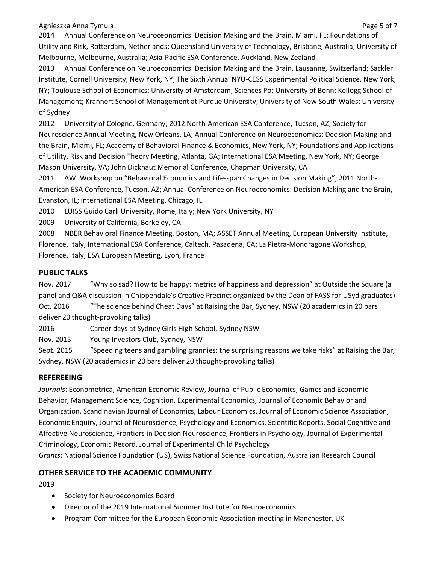Agnieszka Anna Tymula Page 5 of 7

2014 Annual Conference on Neuroceonomics: Decision Making and the Brain, Miami, FL; Foundations of Utility and Risk, Rotterdam, Netherlands; Queensland University of Technology, Brisbane, Australia; University of Melbourne, Melbourne, Australia; Asia-Pacific ESA Conference, Auckland, New Zealand

2013 Annual Conference on Neuroeconomics: Decision Making and the Brain, Lausanne, Switzerland; Sackler Institute, Cornell University, New York, NY; The Sixth Annual NYU-CESS Experimental Political Science, New York, NY; Toulouse School of Economics; University of Amsterdam; Sciences Po; University of Bonn; Kellogg School of Management; Krannert School of Management at Purdue University; University of New South Wales; University of Sydney

2012 University of Cologne, Germany; 2012 North-American ESA Conference, Tucson, AZ; Society for Neuroscience Annual Meeting, New Orleans, LA; Annual Conference on Neuroeconomics: Decision Making and the Brain, Miami, FL; Academy of Behavioral Finance & Economics, New York, NY; Foundations and Applications of Utility, Risk and Decision Theory Meeting, Atlanta, GA; International ESA Meeting, New York, NY; George Mason University, VA; John Dickhaut Memorial Conference, Chapman University, CA

2011 AWI Workshop on "Behavioral Economics and Life-span Changes in Decision Making"; 2011 North-American ESA Conference, Tucson, AZ; Annual Conference on Neuroeconomics: Decision Making and the Brain, Evanston, IL; International ESA Meeting, Chicago, IL

2010 LUISS Guido Carli University, Rome, Italy; New York University, NY

2009 University of California, Berkeley, CA

2008 NBER Behavioral Finance Meeting, Boston, MA; ASSET Annual Meeting, European University Institute, Florence, Italy; International ESA Conference, Caltech, Pasadena, CA; La Pietra-Mondragone Workshop, Florence, Italy; ESA European Meeting, Lyon, France

## **PUBLIC TALKS**

Nov. 2017 "Why so sad? How to be happy: metrics of happiness and depression" at Outside the Square (a panel and Q&A discussion in Chippendale's Creative Precinct organized by the Dean of FASS for USyd graduates) Oct. 2016 "The science behind Cheat Days" at Raising the Bar, Sydney, NSW (20 academics in 20 bars deliver 20 thought-provoking talks)

2016 Career days at Sydney Girls High School, Sydney NSW

Nov. 2015 Young Investors Club, Sydney, NSW

Sept. 2015 "Speeding teens and gambling grannies: the surprising reasons we take risks" at Raising the Bar, Sydney, NSW (20 academics in 20 bars deliver 20 thought-provoking talks)

# **REFEREEING**

*Journals*: Econometrica, American Economic Review, Journal of Public Economics, Games and Economic Behavior, Management Science, Cognition, Experimental Economics, Journal of Economic Behavior and Organization, Scandinavian Journal of Economics, Labour Economics, Journal of Economic Science Association, Economic Enquiry, Journal of Neuroscience, Psychology and Economics, Scientific Reports, Social Cognitive and Affective Neuroscience, Frontiers in Decision Neuroscience, Frontiers in Psychology, Journal of Experimental Criminology, Economic Record, Journal of Experimental Child Psychology *Grants*: National Science Foundation (US), Swiss National Science Foundation, Australian Research Council

# **OTHER SERVICE TO THE ACADEMIC COMMUNITY**

2019

- Society for Neuroeconomics Board
- Director of the 2019 International Summer Institute for Neuroeconomics
- Program Committee for the European Economic Association meeting in Manchester, UK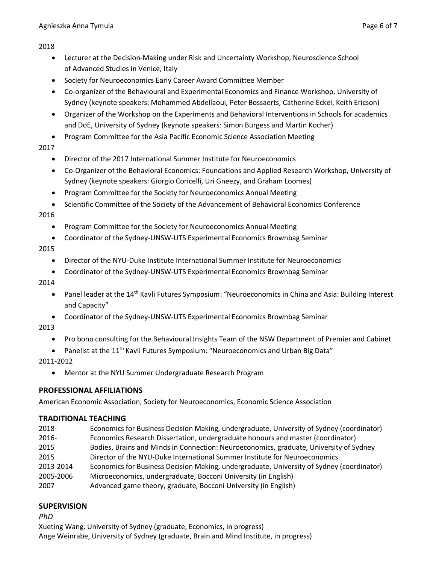#### 2018

- Lecturer at the Decision-Making under Risk and Uncertainty Workshop, Neuroscience School of Advanced Studies in Venice, Italy
- Society for Neuroeconomics Early Career Award Committee Member
- Co-organizer of the Behavioural and Experimental Economics and Finance Workshop, University of Sydney (keynote speakers: Mohammed Abdellaoui, Peter Bossaerts, Catherine Eckel, Keith Ericson)
- Organizer of the Workshop on the Experiments and Behavioral Interventions in Schools for academics and DoE, University of Sydney (keynote speakers: Simon Burgess and Martin Kocher)
- Program Committee for the Asia Pacific Economic Science Association Meeting
- 2017
	- Director of the 2017 International Summer Institute for Neuroeconomics
	- Co-Organizer of the Behavioral Economics: Foundations and Applied Research Workshop, University of Sydney (keynote speakers: Giorgio Coricelli, Uri Gneezy, and Graham Loomes)
	- Program Committee for the Society for Neuroeconomics Annual Meeting
	- Scientific Committee of the Society of the Advancement of Behavioral Economics Conference

2016

- Program Committee for the Society for Neuroeconomics Annual Meeting
- Coordinator of the Sydney-UNSW-UTS Experimental Economics Brownbag Seminar

2015

- Director of the NYU-Duke Institute International Summer Institute for Neuroeconomics
- Coordinator of the Sydney-UNSW-UTS Experimental Economics Brownbag Seminar

2014

- Panel leader at the 14<sup>th</sup> Kavli Futures Symposium: "Neuroeconomics in China and Asia: Building Interest and Capacity"
- Coordinator of the Sydney-UNSW-UTS Experimental Economics Brownbag Seminar

2013

- Pro bono consulting for the Behavioural Insights Team of the NSW Department of Premier and Cabinet
- Panelist at the 11<sup>th</sup> Kavli Futures Symposium: "Neuroeconomics and Urban Big Data"

2011-2012

• Mentor at the NYU Summer Undergraduate Research Program

## **PROFESSIONAL AFFILIATIONS**

American Economic Association, Society for Neuroeconomics, Economic Science Association

## **TRADITIONAL TEACHING**

- 2018- Economics for Business Decision Making, undergraduate, University of Sydney (coordinator) 2016- Economics Research Dissertation, undergraduate honours and master (coordinator) 2015 Bodies, Brains and Minds in Connection: Neuroeconomics, graduate, University of Sydney
- 2015 Director of the NYU-Duke International Summer Institute for Neuroeconomics
- 2013-2014 Economics for Business Decision Making, undergraduate, University of Sydney (coordinator)
- 2005-2006 Microeconomics, undergraduate, Bocconi University (in English)
- 2007 Advanced game theory, graduate, Bocconi University (in English)

# **SUPERVISION**

*PhD*

Xueting Wang, University of Sydney (graduate, Economics, in progress) Ange Weinrabe, University of Sydney (graduate, Brain and Mind Institute, in progress)